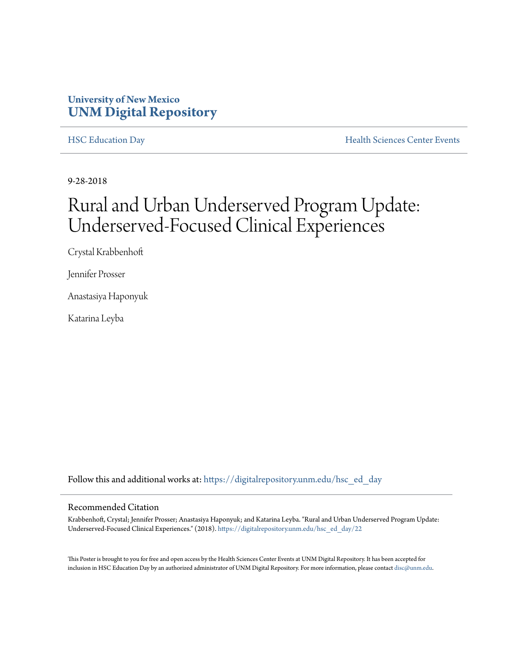### **University of New Mexico [UNM Digital Repository](https://digitalrepository.unm.edu?utm_source=digitalrepository.unm.edu%2Fhsc_ed_day%2F22&utm_medium=PDF&utm_campaign=PDFCoverPages)**

[HSC Education Day](https://digitalrepository.unm.edu/hsc_ed_day?utm_source=digitalrepository.unm.edu%2Fhsc_ed_day%2F22&utm_medium=PDF&utm_campaign=PDFCoverPages) **[Health Sciences Center Events](https://digitalrepository.unm.edu/hsc_events?utm_source=digitalrepository.unm.edu%2Fhsc_ed_day%2F22&utm_medium=PDF&utm_campaign=PDFCoverPages)** 

9-28-2018

## Rural and Urban Underserved Program Update: Underserved-Focused Clinical Experiences

Crystal Krabbenhoft

Jennifer Prosser

Anastasiya Haponyuk

Katarina Leyba

Follow this and additional works at: [https://digitalrepository.unm.edu/hsc\\_ed\\_day](https://digitalrepository.unm.edu/hsc_ed_day?utm_source=digitalrepository.unm.edu%2Fhsc_ed_day%2F22&utm_medium=PDF&utm_campaign=PDFCoverPages)

### Recommended Citation

Krabbenhoft, Crystal; Jennifer Prosser; Anastasiya Haponyuk; and Katarina Leyba. "Rural and Urban Underserved Program Update: Underserved-Focused Clinical Experiences." (2018). [https://digitalrepository.unm.edu/hsc\\_ed\\_day/22](https://digitalrepository.unm.edu/hsc_ed_day/22?utm_source=digitalrepository.unm.edu%2Fhsc_ed_day%2F22&utm_medium=PDF&utm_campaign=PDFCoverPages)

This Poster is brought to you for free and open access by the Health Sciences Center Events at UNM Digital Repository. It has been accepted for inclusion in HSC Education Day by an authorized administrator of UNM Digital Repository. For more information, please contact [disc@unm.edu](mailto:disc@unm.edu).